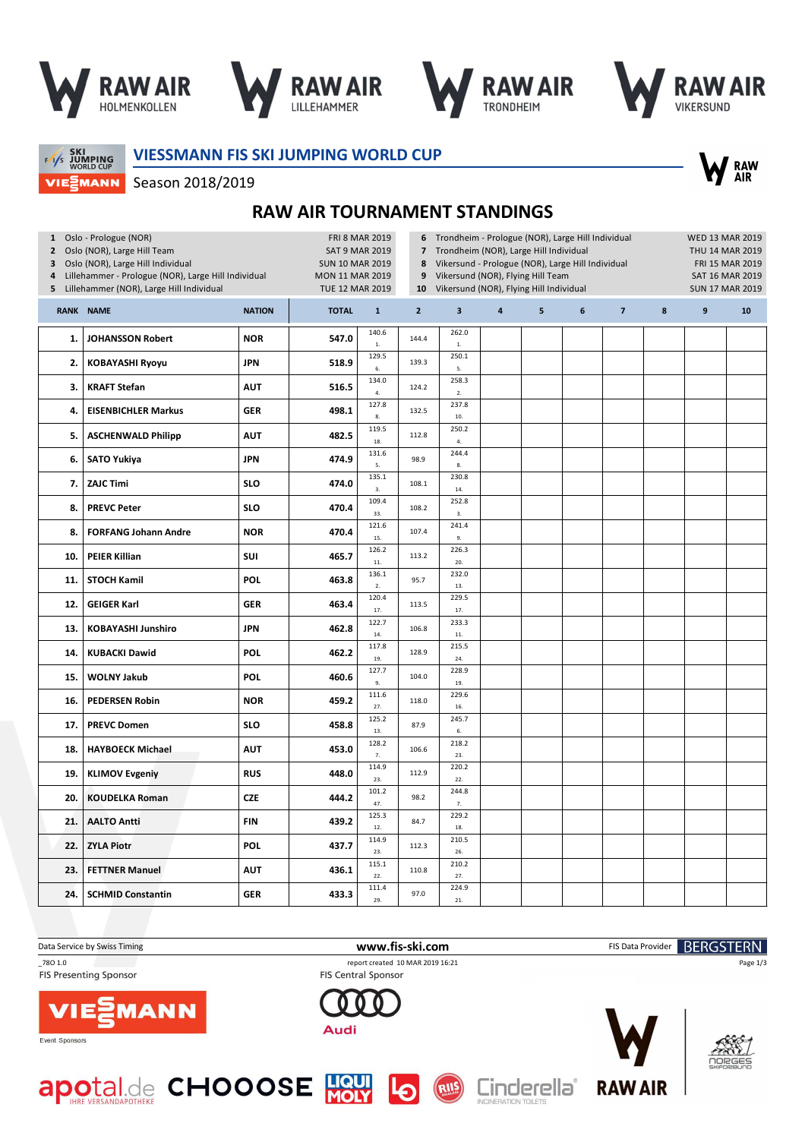

Season 2018/2019







SKI<br>JUMPING<br>WORLD CUP VIEZMANN **VIESSMANN FIS SKI JUMPING WORLD CUP**



**RAW AIR TOURNAMENT STANDINGS**

| $\mathbf{2}$<br>3<br>4<br>5 | 1 Oslo - Prologue (NOR)<br>Oslo (NOR), Large Hill Team<br>Oslo (NOR), Large Hill Individual<br>Lillehammer - Prologue (NOR), Large Hill Individual<br>Lillehammer (NOR), Large Hill Individual | <b>FRI 8 MAR 2019</b><br><b>SAT 9 MAR 2019</b><br><b>SUN 10 MAR 2019</b><br>MON 11 MAR 2019<br><b>TUE 12 MAR 2019</b> |              | 6<br>$\overline{7}$<br>8<br>9<br>10 | Trondheim - Prologue (NOR), Large Hill Individual<br>Trondheim (NOR), Large Hill Individual<br>Vikersund - Prologue (NOR), Large Hill Individual<br>Vikersund (NOR), Flying Hill Team<br>Vikersund (NOR), Flying Hill Individual |                         | <b>WED 13 MAR 2019</b><br>THU 14 MAR 2019<br>FRI 15 MAR 2019<br>SAT 16 MAR 2019<br><b>SUN 17 MAR 2019</b> |   |   |                |   |   |    |
|-----------------------------|------------------------------------------------------------------------------------------------------------------------------------------------------------------------------------------------|-----------------------------------------------------------------------------------------------------------------------|--------------|-------------------------------------|----------------------------------------------------------------------------------------------------------------------------------------------------------------------------------------------------------------------------------|-------------------------|-----------------------------------------------------------------------------------------------------------|---|---|----------------|---|---|----|
|                             | <b>RANK NAME</b>                                                                                                                                                                               | <b>NATION</b>                                                                                                         | <b>TOTAL</b> | $\mathbf{1}$                        | $\overline{2}$                                                                                                                                                                                                                   | $\overline{\mathbf{3}}$ | $\overline{a}$                                                                                            | 5 | 6 | $\overline{7}$ | 8 | 9 | 10 |
| 1.                          | <b>JOHANSSON Robert</b>                                                                                                                                                                        | <b>NOR</b>                                                                                                            | 547.0        | 140.6<br>$1.$                       | 144.4                                                                                                                                                                                                                            | 262.0<br>$1. \,$        |                                                                                                           |   |   |                |   |   |    |
| 2.                          | <b>KOBAYASHI Ryoyu</b>                                                                                                                                                                         | <b>JPN</b>                                                                                                            | 518.9        | 129.5<br>6.                         | 139.3                                                                                                                                                                                                                            | 250.1<br>5.             |                                                                                                           |   |   |                |   |   |    |
| 3.                          | <b>KRAFT Stefan</b>                                                                                                                                                                            | <b>AUT</b>                                                                                                            | 516.5        | 134.0<br>4.                         | 124.2                                                                                                                                                                                                                            | 258.3<br>2.             |                                                                                                           |   |   |                |   |   |    |
| 4.                          | <b>EISENBICHLER Markus</b>                                                                                                                                                                     | <b>GER</b>                                                                                                            | 498.1        | 127.8<br>8.                         | 132.5                                                                                                                                                                                                                            | 237.8<br>10.            |                                                                                                           |   |   |                |   |   |    |
| 5.                          | <b>ASCHENWALD Philipp</b>                                                                                                                                                                      | <b>AUT</b>                                                                                                            | 482.5        | 119.5<br>18.                        | 112.8                                                                                                                                                                                                                            | 250.2<br>4.             |                                                                                                           |   |   |                |   |   |    |
| 6.                          | <b>SATO Yukiya</b>                                                                                                                                                                             | <b>JPN</b>                                                                                                            | 474.9        | 131.6<br>5.                         | 98.9                                                                                                                                                                                                                             | 244.4<br>8.             |                                                                                                           |   |   |                |   |   |    |
| 7.                          | <b>ZAJC Timi</b>                                                                                                                                                                               | <b>SLO</b>                                                                                                            | 474.0        | 135.1<br>3.                         | 108.1                                                                                                                                                                                                                            | 230.8<br>14.            |                                                                                                           |   |   |                |   |   |    |
| 8.                          | <b>PREVC Peter</b>                                                                                                                                                                             | <b>SLO</b>                                                                                                            | 470.4        | 109.4<br>33.                        | 108.2                                                                                                                                                                                                                            | 252.8<br>3.             |                                                                                                           |   |   |                |   |   |    |
| 8.                          | <b>FORFANG Johann Andre</b>                                                                                                                                                                    | <b>NOR</b>                                                                                                            | 470.4        | 121.6<br>15.                        | 107.4                                                                                                                                                                                                                            | 241.4<br>9.             |                                                                                                           |   |   |                |   |   |    |
| 10.                         | <b>PEIER Killian</b>                                                                                                                                                                           | SUI                                                                                                                   | 465.7        | 126.2<br>$11.$                      | 113.2                                                                                                                                                                                                                            | 226.3<br>20.            |                                                                                                           |   |   |                |   |   |    |
| 11.                         | <b>STOCH Kamil</b>                                                                                                                                                                             | <b>POL</b>                                                                                                            | 463.8        | 136.1<br>2.                         | 95.7                                                                                                                                                                                                                             | 232.0<br>13.            |                                                                                                           |   |   |                |   |   |    |
| 12.                         | <b>GEIGER Karl</b>                                                                                                                                                                             | <b>GER</b>                                                                                                            | 463.4        | 120.4<br>17.                        | 113.5                                                                                                                                                                                                                            | 229.5<br>17.            |                                                                                                           |   |   |                |   |   |    |
| 13.                         | <b>KOBAYASHI Junshiro</b>                                                                                                                                                                      | <b>JPN</b>                                                                                                            | 462.8        | 122.7<br>14.                        | 106.8                                                                                                                                                                                                                            | 233.3<br>11.            |                                                                                                           |   |   |                |   |   |    |
| 14.                         | <b>KUBACKI Dawid</b>                                                                                                                                                                           | <b>POL</b>                                                                                                            | 462.2        | 117.8<br>19.                        | 128.9                                                                                                                                                                                                                            | 215.5<br>24.            |                                                                                                           |   |   |                |   |   |    |
| 15.                         | <b>WOLNY Jakub</b>                                                                                                                                                                             | <b>POL</b>                                                                                                            | 460.6        | 127.7<br>9.                         | 104.0                                                                                                                                                                                                                            | 228.9<br>19.            |                                                                                                           |   |   |                |   |   |    |
| 16.                         | <b>PEDERSEN Robin</b>                                                                                                                                                                          | <b>NOR</b>                                                                                                            | 459.2        | 111.6<br>27.                        | 118.0                                                                                                                                                                                                                            | 229.6<br>16.            |                                                                                                           |   |   |                |   |   |    |
| 17.                         | <b>PREVC Domen</b>                                                                                                                                                                             | <b>SLO</b>                                                                                                            | 458.8        | 125.2<br>13.                        | 87.9                                                                                                                                                                                                                             | 245.7<br>$\mathbf{6}.$  |                                                                                                           |   |   |                |   |   |    |
| 18.                         | <b>HAYBOECK Michael</b>                                                                                                                                                                        | <b>AUT</b>                                                                                                            | 453.0        | 128.2<br>7.                         | 106.6                                                                                                                                                                                                                            | 218.2<br>23.            |                                                                                                           |   |   |                |   |   |    |
| 19.                         | <b>KLIMOV Evgeniy</b>                                                                                                                                                                          | <b>RUS</b>                                                                                                            | 448.0        | 114.9<br>23.                        | 112.9                                                                                                                                                                                                                            | 220.2<br>22.            |                                                                                                           |   |   |                |   |   |    |
| 20.                         | <b>KOUDELKA Roman</b>                                                                                                                                                                          | <b>CZE</b>                                                                                                            | 444.2        | 101.2<br>47.                        | 98.2                                                                                                                                                                                                                             | 244.8<br>7.             |                                                                                                           |   |   |                |   |   |    |
| 21.                         | <b>AALTO Antti</b>                                                                                                                                                                             | <b>FIN</b>                                                                                                            | 439.2        | 125.3<br>12.                        | 84.7                                                                                                                                                                                                                             | 229.2<br>18.            |                                                                                                           |   |   |                |   |   |    |
| 22.                         | <b>ZYLA Piotr</b>                                                                                                                                                                              | <b>POL</b>                                                                                                            | 437.7        | 114.9<br>23.                        | 112.3                                                                                                                                                                                                                            | 210.5<br>26.            |                                                                                                           |   |   |                |   |   |    |
| 23.                         | <b>FETTNER Manuel</b>                                                                                                                                                                          | <b>AUT</b>                                                                                                            | 436.1        | 115.1<br>22.                        | 110.8                                                                                                                                                                                                                            | 210.2<br>27.            |                                                                                                           |   |   |                |   |   |    |
| 24.                         | <b>SCHMID Constantin</b>                                                                                                                                                                       | <b>GER</b>                                                                                                            | 433.3        | 111.4<br>29.                        | 97.0                                                                                                                                                                                                                             | 224.9<br>21.            |                                                                                                           |   |   |                |   |   |    |

Data Service by Swiss Timing **WWW.Fis-Ski.com www.fis-ski.com** FIS Data Provider **BERGSTERN** 

**FIS Presenting Sponsor** 

\_78O 1.0 report created 10 MAR 2019 16:21 FIS Central Sponsor

RIIS

Audi



Event Sponsors







Page 1/3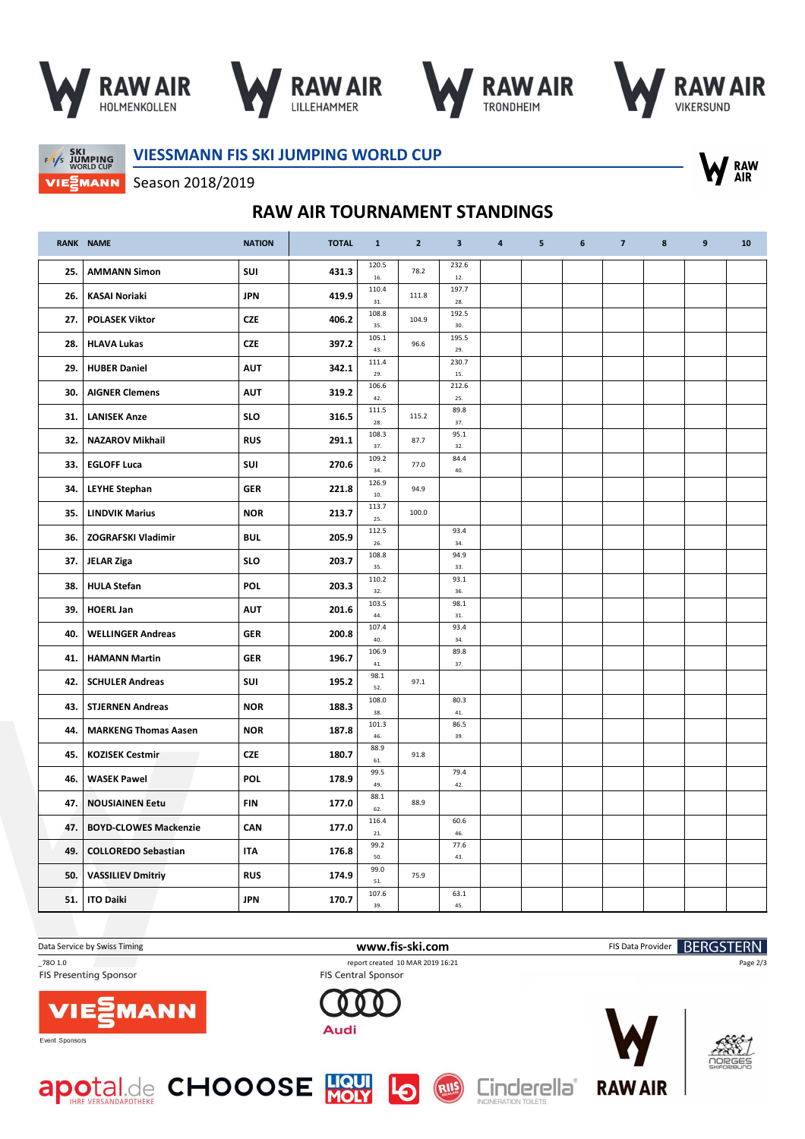







 $F/1/s$  JUMPING VIEZMANN **VIESSMANN FIS SKI JUMPING WORLD CUP**



Season 2018/2019

## **RAW AIR TOURNAMENT STANDINGS**

|     | <b>RANK NAME</b>             | <b>NATION</b> | <b>TOTAL</b> | $\mathbf{1}$         | $\overline{2}$ | 3            | 4 | 5 | $\boldsymbol{6}$ | $\overline{7}$ | 8 | 9 | 10 |
|-----|------------------------------|---------------|--------------|----------------------|----------------|--------------|---|---|------------------|----------------|---|---|----|
| 25. | <b>AMMANN Simon</b>          | SUI           | 431.3        | 120.5<br>16.         | 78.2           | 232.6<br>12. |   |   |                  |                |   |   |    |
| 26. | <b>KASAI Noriaki</b>         | <b>JPN</b>    | 419.9        | 110.4<br>31.         | 111.8          | 197.7<br>28. |   |   |                  |                |   |   |    |
| 27. | <b>POLASEK Viktor</b>        | <b>CZE</b>    | 406.2        | 108.8<br>35.         | 104.9          | 192.5<br>30. |   |   |                  |                |   |   |    |
| 28. | <b>HLAVA Lukas</b>           | <b>CZE</b>    | 397.2        | 105.1<br>43.         | 96.6           | 195.5<br>29. |   |   |                  |                |   |   |    |
| 29. | <b>HUBER Daniel</b>          | <b>AUT</b>    | 342.1        | 111.4<br>29.         |                | 230.7<br>15. |   |   |                  |                |   |   |    |
| 30. | <b>AIGNER Clemens</b>        | <b>AUT</b>    | 319.2        | 106.6<br>42.         |                | 212.6<br>25. |   |   |                  |                |   |   |    |
| 31. | <b>LANISEK Anze</b>          | <b>SLO</b>    | 316.5        | 111.5<br>28.         | 115.2          | 89.8<br>37.  |   |   |                  |                |   |   |    |
| 32. | <b>NAZAROV Mikhail</b>       | <b>RUS</b>    | 291.1        | 108.3<br>37.         | 87.7           | 95.1<br>32.  |   |   |                  |                |   |   |    |
| 33. | <b>EGLOFF Luca</b>           | SUI           | 270.6        | 109.2<br>34.         | 77.0           | 84.4<br>40.  |   |   |                  |                |   |   |    |
| 34. | <b>LEYHE Stephan</b>         | <b>GER</b>    | 221.8        | 126.9<br>10.         | 94.9           |              |   |   |                  |                |   |   |    |
| 35. | <b>LINDVIK Marius</b>        | <b>NOR</b>    | 213.7        | 113.7<br>25.         | 100.0          |              |   |   |                  |                |   |   |    |
| 36. | <b>ZOGRAFSKI Vladimir</b>    | <b>BUL</b>    | 205.9        | 112.5<br>26.         |                | 93.4<br>34.  |   |   |                  |                |   |   |    |
| 37. | <b>JELAR Ziga</b>            | <b>SLO</b>    | 203.7        | 108.8<br>35.         |                | 94.9<br>33.  |   |   |                  |                |   |   |    |
| 38. | <b>HULA Stefan</b>           | POL           | 203.3        | 110.2<br>32.         |                | 93.1<br>36.  |   |   |                  |                |   |   |    |
| 39. | <b>HOERL Jan</b>             | <b>AUT</b>    | 201.6        | 103.5<br>44.         |                | 98.1<br>31.  |   |   |                  |                |   |   |    |
| 40. | <b>WELLINGER Andreas</b>     | <b>GER</b>    | 200.8        | 107.4<br>40.         |                | 93.4<br>34.  |   |   |                  |                |   |   |    |
| 41. | <b>HAMANN Martin</b>         | <b>GER</b>    | 196.7        | 106.9<br>41.<br>98.1 |                | 89.8<br>37.  |   |   |                  |                |   |   |    |
| 42. | <b>SCHULER Andreas</b>       | SUI           | 195.2        | 52.<br>108.0         | 97.1           | 80.3         |   |   |                  |                |   |   |    |
| 43. | <b>STJERNEN Andreas</b>      | <b>NOR</b>    | 188.3        | 38.<br>101.3         |                | 41.<br>86.5  |   |   |                  |                |   |   |    |
| 44. | <b>MARKENG Thomas Aasen</b>  | <b>NOR</b>    | 187.8        | 46.<br>88.9          |                | 39.          |   |   |                  |                |   |   |    |
| 45. | <b>KOZISEK Cestmir</b>       | <b>CZE</b>    | 180.7        | 61.<br>99.5          | 91.8           | 79.4         |   |   |                  |                |   |   |    |
| 46. | <b>WASEK Pawel</b>           | POL           | 178.9        | 49.<br>88.1          |                | 42.          |   |   |                  |                |   |   |    |
| 47. | <b>NOUSIAINEN Eetu</b>       | FIN           | 177.0        | 62.<br>116.4         | 88.9           | 60.6         |   |   |                  |                |   |   |    |
| 47. | <b>BOYD-CLOWES Mackenzie</b> | CAN           | 177.0        | 21.<br>99.2          |                | 46.<br>77.6  |   |   |                  |                |   |   |    |
| 49. | <b>COLLOREDO Sebastian</b>   | <b>ITA</b>    | 176.8        | 50.<br>99.0          |                | 43.          |   |   |                  |                |   |   |    |
| 50. | <b>VASSILIEV Dmitriy</b>     | <b>RUS</b>    | 174.9        | 51.<br>107.6         | 75.9           | 63.1         |   |   |                  |                |   |   |    |
| 51. | <b>ITO Daiki</b>             | <b>JPN</b>    | 170.7        | 39.                  |                | 45.          |   |   |                  |                |   |   |    |

FIS Presenting Sponsor

Data Service by Swiss Timing **WWW.Fis-Ski.com www.fis-ski.com** FIS Data Provider **BERGSTERN** \_78O 1.0 report created 10 MAR 2019 16:21 FIS Central Sponsor

RIIS

Audi











Page 2/3